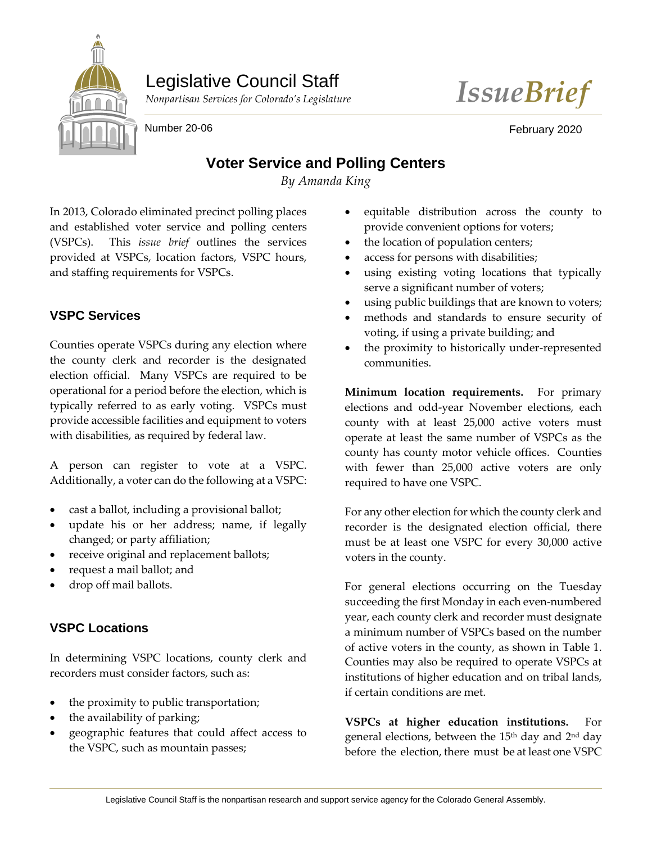

# Legislative Council Staff



Number 20-06 February 2020

## **Voter Service and Polling Centers**

*By Amanda King*

In 2013, Colorado eliminated precinct polling places and established voter service and polling centers (VSPCs). This *issue brief* outlines the services provided at VSPCs, location factors, VSPC hours, and staffing requirements for VSPCs.

## **VSPC Services**

Counties operate VSPCs during any election where the county clerk and recorder is the designated election official. Many VSPCs are required to be operational for a period before the election, which is typically referred to as early voting. VSPCs must provide accessible facilities and equipment to voters with disabilities, as required by federal law.

A person can register to vote at a VSPC. Additionally, a voter can do the following at a VSPC:

- cast a ballot, including a provisional ballot;
- update his or her address; name, if legally changed; or party affiliation;
- receive original and replacement ballots;
- request a mail ballot; and
- drop off mail ballots.

## **VSPC Locations**

In determining VSPC locations, county clerk and recorders must consider factors, such as:

- the proximity to public transportation;
- the availability of parking;
- geographic features that could affect access to the VSPC, such as mountain passes;
- equitable distribution across the county to provide convenient options for voters;
- the location of population centers;
- access for persons with disabilities;
- using existing voting locations that typically serve a significant number of voters;
- using public buildings that are known to voters;
- methods and standards to ensure security of voting, if using a private building; and
- the proximity to historically under-represented communities.

**Minimum location requirements.** For primary elections and odd-year November elections, each county with at least 25,000 active voters must operate at least the same number of VSPCs as the county has county motor vehicle offices. Counties with fewer than 25,000 active voters are only required to have one VSPC.

For any other election for which the county clerk and recorder is the designated election official, there must be at least one VSPC for every 30,000 active voters in the county.

For general elections occurring on the Tuesday succeeding the first Monday in each even-numbered year, each county clerk and recorder must designate a minimum number of VSPCs based on the number of active voters in the county, as shown in Table 1. Counties may also be required to operate VSPCs at institutions of higher education and on tribal lands, if certain conditions are met.

**VSPCs at higher education institutions.** For general elections, between the 15<sup>th</sup> day and 2<sup>nd</sup> day before the election, there must be at least one VSPC